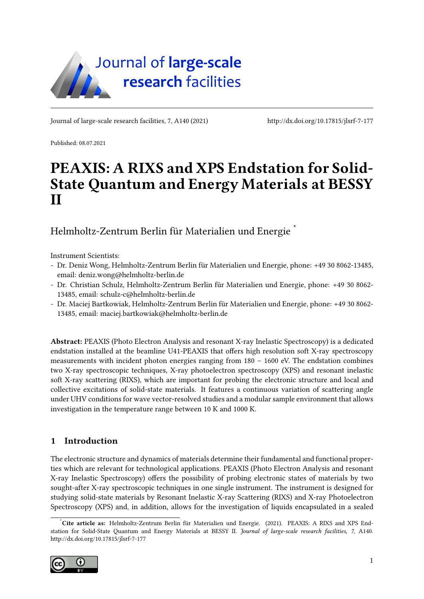

Journal of large-scale research facilities, 7, A140 (2021)<http://dx.doi.org/10.17815/jlsrf-7-177>

Published: 08.07.2021

# PEAXIS: A RIXS and XPS Endstation for Solid-State Quantum and Energy Materials at BESSY II

Helmholtz-Zentrum Berlin für Materialien und Energie [\\*](#page-0-0)

Instrument Scientists:

- Dr. Deniz Wong, Helmholtz-Zentrum Berlin für Materialien und Energie, phone: +49 30 8062-13485, email: deniz.wong@helmholtz-berlin.de
- Dr. Christian Schulz, Helmholtz-Zentrum Berlin für Materialien und Energie, phone: +49 30 8062- 13485, email: schulz-c@helmholtz-berlin.de
- Dr. Maciej Bartkowiak, Helmholtz-Zentrum Berlin für Materialien und Energie, phone: +49 30 8062- 13485, email: maciej.bartkowiak@helmholtz-berlin.de

Abstract: PEAXIS (Photo Electron Analysis and resonant X-ray Inelastic Spectroscopy) is a dedicated endstation installed at the beamline U41-PEAXIS that offers high resolution soft X-ray spectroscopy measurements with incident photon energies ranging from  $180 - 1600$  eV. The endstation combines two X-ray spectroscopic techniques, X-ray photoelectron spectroscopy (XPS) and resonant inelastic soft X-ray scattering (RIXS), which are important for probing the electronic structure and local and collective excitations of solid-state materials. It features a continuous variation of scattering angle under UHV conditions for wave vector-resolved studies and a modular sample environment that allows investigation in the temperature range between 10 K and 1000 K.

## 1 Introduction

The electronic structure and dynamics of materials determine their fundamental and functional properties which are relevant for technological applications. PEAXIS (Photo Electron Analysis and resonant X-ray Inelastic Spectroscopy) offers the possibility of probing electronic states of materials by two sought-after X-ray spectroscopic techniques in one single instrument. The instrument is designed for studying solid-state materials by Resonant Inelastic X-ray Scattering (RIXS) and X-ray Photoelectron Spectroscopy (XPS) and, in addition, allows for the investigation of liquids encapsulated in a sealed

<span id="page-0-0"></span><sup>\*</sup>Cite article as: Helmholtz-Zentrum Berlin für Materialien und Energie. (2021). PEAXIS: A RIXS and XPS Endstation for Solid-State Quantum and Energy Materials at BESSY II. Journal of large-scale research facilities, 7, A140. <http://dx.doi.org/10.17815/jlsrf-7-177>

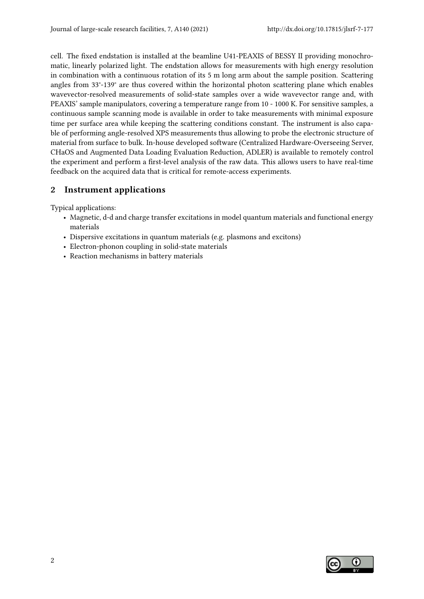cell. The fixed endstation is installed at the beamline U41-PEAXIS of BESSY II providing monochromatic, linearly polarized light. The endstation allows for measurements with high energy resolution in combination with a continuous rotation of its 5 m long arm about the sample position. Scattering angles from 33°-139° are thus covered within the horizontal photon scattering plane which enables wavevector-resolved measurements of solid-state samples over a wide wavevector range and, with PEAXIS' sample manipulators, covering a temperature range from 10 - 1000 K. For sensitive samples, a continuous sample scanning mode is available in order to take measurements with minimal exposure time per surface area while keeping the scattering conditions constant. The instrument is also capable of performing angle-resolved XPS measurements thus allowing to probe the electronic structure of material from surface to bulk. In-house developed software (Centralized Hardware-Overseeing Server, CHaOS and Augmented Data Loading Evaluation Reduction, ADLER) is available to remotely control the experiment and perform a first-level analysis of the raw data. This allows users to have real-time feedback on the acquired data that is critical for remote-access experiments.

## 2 Instrument applications

Typical applications:

- Magnetic, d-d and charge transfer excitations in model quantum materials and functional energy materials
- Dispersive excitations in quantum materials (e.g. plasmons and excitons)
- Electron-phonon coupling in solid-state materials
- Reaction mechanisms in battery materials

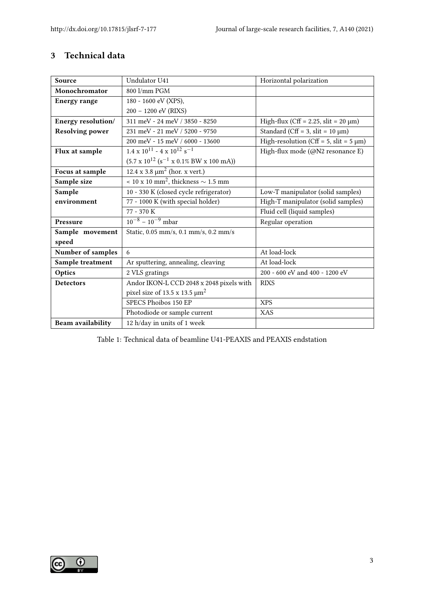## 3 Technical data

| Source                   | Undulator U41                                                                 | Horizontal polarization                       |
|--------------------------|-------------------------------------------------------------------------------|-----------------------------------------------|
| Monochromator            | 800 l/mm PGM                                                                  |                                               |
| <b>Energy range</b>      | 180 - 1600 eV (XPS),                                                          |                                               |
|                          | 200 - 1200 eV (RIXS)                                                          |                                               |
| Energy resolution/       | 311 meV - 24 meV / 3850 - 8250                                                | High-flux (Cff = $2.25$ , slit = $20 \mu m$ ) |
| <b>Resolving power</b>   | 231 meV - 21 meV / 5200 - 9750                                                | Standard (Cff = 3, slit = $10 \mu m$ )        |
|                          | 200 meV - 15 meV / 6000 - 13600                                               | High-resolution (Cff = 5, slit = $5 \mu m$ )  |
| Flux at sample           | $1.4 \times 10^{11} - 4 \times 10^{12}$ s <sup>-1</sup>                       | High-flux mode (@N2 resonance E)              |
|                          | $(5.7 \times 10^{12} (s^{-1} \times 0.1\% \text{ BW} \times 100 \text{ mA}))$ |                                               |
| Focus at sample          | 12.4 x 3.8 $\mu$ m <sup>2</sup> (hor. x vert.)                                |                                               |
| Sample size              | $\sim$ 10 x 10 mm <sup>2</sup> , thickness $\sim$ 1.5 mm                      |                                               |
| Sample                   | 10 - 330 K (closed cycle refrigerator)                                        | Low-T manipulator (solid samples)             |
| environment              | 77 - 1000 K (with special holder)                                             | High-T manipulator (solid samples)            |
|                          | 77 - 370 K                                                                    | Fluid cell (liquid samples)                   |
| <b>Pressure</b>          | $10^{-8} - 10^{-9}$ mbar                                                      | Regular operation                             |
| Sample movement          | Static, 0.05 mm/s, 0.1 mm/s, 0.2 mm/s                                         |                                               |
| speed                    |                                                                               |                                               |
| Number of samples        | 6                                                                             | At load-lock                                  |
| Sample treatment         | Ar sputtering, annealing, cleaving                                            | At load-lock                                  |
| Optics                   | 2 VLS gratings                                                                | 200 - 600 eV and 400 - 1200 eV                |
| <b>Detectors</b>         | Andor IKON-L CCD 2048 x 2048 pixels with                                      | <b>RIXS</b>                                   |
|                          | pixel size of 13.5 x 13.5 $\mu$ m <sup>2</sup>                                |                                               |
|                          | SPECS Phoibos 150 EP                                                          | <b>XPS</b>                                    |
|                          | Photodiode or sample current                                                  | XAS                                           |
| <b>Beam availability</b> | 12 h/day in units of 1 week                                                   |                                               |

Table 1: Technical data of beamline U41-PEAXIS and PEAXIS endstation